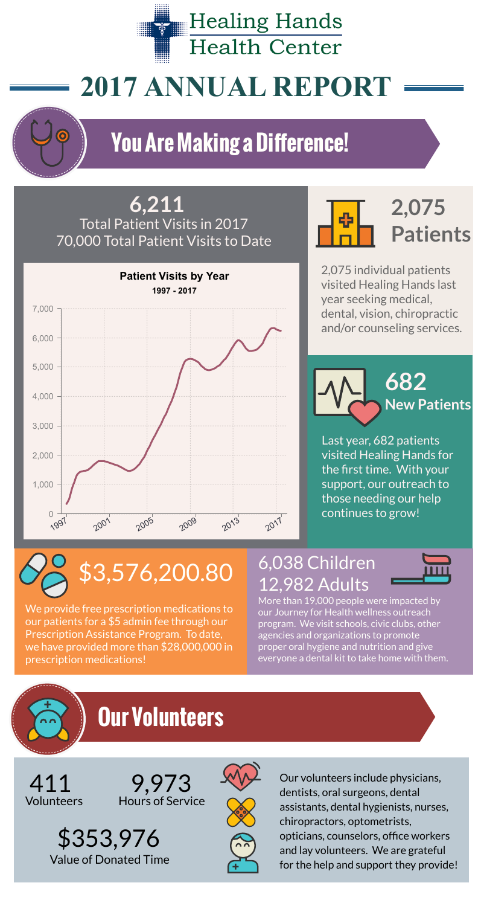**Healing Hands Health Center** 

# **2017 ANNUAL REPORT**

2,075 individual patients visited Healing Hands last year seeking medical, dental, vision, chiropractic and/or counseling services.





Last year, 682 patients visited Healing Hands for the first time. With your support, our outreach to those needing our help continues to grow!



#### **6,211** Total Patient Visits in 2017 70,000 Total Patient Visits to Date

411 9,973 State our volunteers include physicians,<br>Volunteers Hours of Service dentists, oral surgeons, dental assistants, dental hygienists, nurses, chiropractors, optometrists, opticians, counselors, office workers and lay volunteers. We are grateful for the help and support they provide!

9,973 Hours of Service

### 6,038 Children 12,982 Adults



We provide free prescription medications to our patients for a \$5 admin fee through our Prescription Assistance Program. To date, we have provided more than \$28,000,000 in prescription medications!

More than 19,000 people were impacted by our Journey for Health wellness outreach program. We visit schools, civic clubs, other agencies and organizations to promote proper oral hygiene and nutrition and give everyone a dental kit to take home with them.

## **Our Volunteers**

\$353,976 Value of Donated Time





## **You Are Making a Difference!**